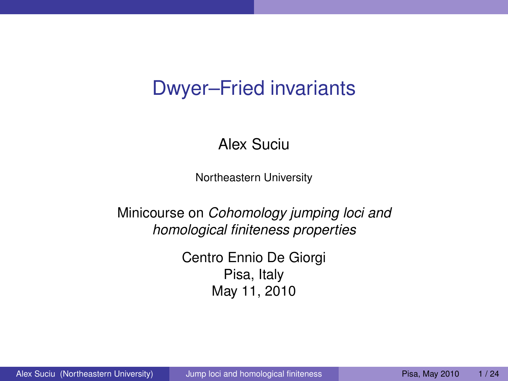# Dwyer–Fried invariants

Alex Suciu

Northeastern University

Minicourse on *Cohomology jumping loci and homological finiteness properties*

> <span id="page-0-0"></span>Centro Ennio De Giorgi Pisa, Italy May 11, 2010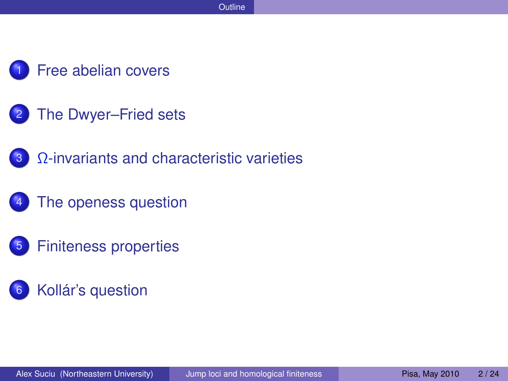- [Free abelian covers](#page-2-0)
- [The Dwyer–Fried sets](#page-5-0)
- 3 Ω[-invariants and characteristic varieties](#page-10-0)
- [The openess question](#page-13-0)
- 5 [Finiteness properties](#page-16-0)
- [Kollár's question](#page-19-0)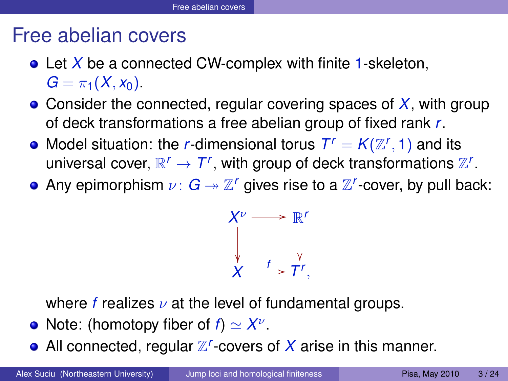## Free abelian covers

- Let *X* be a connected CW-complex with finite 1-skeleton,  $G = \pi_1(X, x_0)$ .
- Consider the connected, regular covering spaces of *X*, with group of deck transformations a free abelian group of fixed rank *r*.
- Model situation: the *r*-dimensional torus  $T^r = K(\mathbb{Z}^r, 1)$  and its universal cover,  $\mathbb{R}^r \to \mathcal{T}^r$ , with group of deck transformations  $\mathbb{Z}^r$ .
- Any epimorphism  $\nu\colon G\twoheadrightarrow\mathbb{Z}^r$  gives rise to a  $\mathbb{Z}^r$ -cover, by pull back:

<span id="page-2-0"></span>

where *f* realizes  $\nu$  at the level of fundamental groups.

- Note: (homotopy fiber of  $f$ )  $\simeq X^{\nu}$ .
- All connected, regular  $\mathbb{Z}^r$ -covers of  $X$  arise in this manner.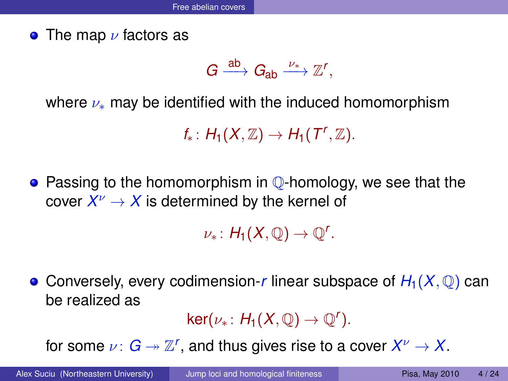**•** The map  $\nu$  factors as

$$
G \xrightarrow{ab} G_{ab} \xrightarrow{\nu_*} \mathbb{Z}^r,
$$

where  $\nu_*$  may be identified with the induced homomorphism

 $f_*: H_1(X,\mathbb{Z}) \to H_1(T^r,\mathbb{Z}).$ 

**•** Passing to the homomorphism in **Q**-homology, we see that the cover  $X^\nu\to X$  is determined by the kernel of

 $\nu_*: H_1(X,\mathbb{Q}) \to \mathbb{Q}^r.$ 

• Conversely, every codimension-*r* linear subspace of  $H_1(X, \mathbb{Q})$  can be realized as

 $\ker(\nu_*\colon H_1(X,\mathbb{Q})\to \mathbb{Q}^r).$ 

for some  $\nu\colon G\twoheadrightarrow \mathbb{Z}^r$ , and thus gives rise to a cover  $X^\nu\to X.$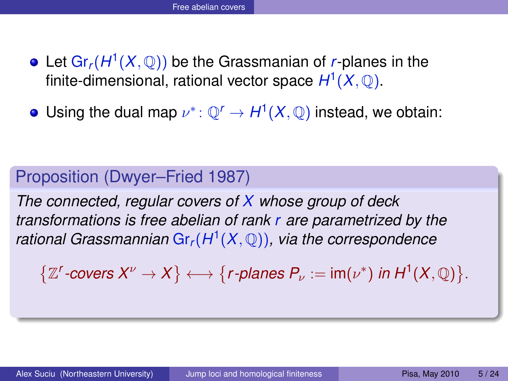- Let  $\mathsf{Gr}_r(H^1(X,\mathbb{Q}))$  be the Grassmanian of *r*-planes in the finite-dimensional, rational vector space *H* 1 (*X*, Q).
- Using the dual map  $\nu^* \colon \mathbb{Q}^r \to H^1(X,\mathbb{Q})$  instead, we obtain:

#### Proposition (Dwyer–Fried 1987)

*The connected, regular covers of X whose group of deck transformations is free abelian of rank r are parametrized by the rational Grassmannian* Gr*r*(*H* 1 (*X*, Q))*, via the correspondence*

 $\left\{ \mathbb{Z}^r\text{-}\text{covers }X^\nu\to X\right\} \longleftrightarrow \left\{r\text{-}\text{planes }P_\nu:=\text{im}(\nu^*)\text{ in }H^1(X,\mathbb{Q})\right\}.$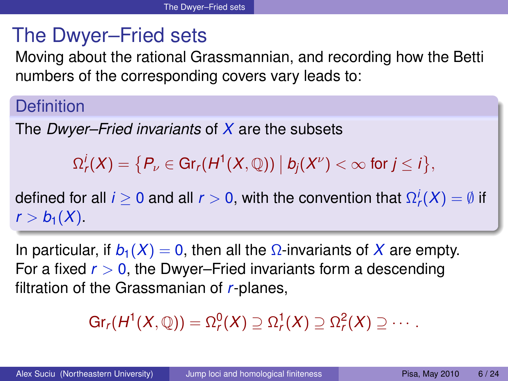# The Dwyer–Fried sets

Moving about the rational Grassmannian, and recording how the Betti numbers of the corresponding covers vary leads to:

## **Definition**

The *Dwyer–Fried invariants* of *X* are the subsets

 $\Omega_r^j(X) = \big\{P_\nu \in \text{Gr}_r(H^1(X, \mathbb{Q})) \bigm| b_j(X^\nu) < \infty \text{ for } j \leq i \big\},$ 

defined for all  $i\geq 0$  and all  $r>0,$  with the convention that  $\Omega^i_r(X)=\emptyset$  if  $r > b_1(X)$ .

In particular, if  $b_1(X) = 0$ , then all the  $\Omega$ -invariants of X are empty. For a fixed  $r > 0$ , the Dwyer–Fried invariants form a descending filtration of the Grassmanian of *r*-planes,

<span id="page-5-0"></span>
$$
\mathrm{Gr}_r(H^1(X,\mathbb{Q}))=\Omega^0_r(X)\supseteq \Omega^1_r(X)\supseteq \Omega^2_r(X)\supseteq \cdots.
$$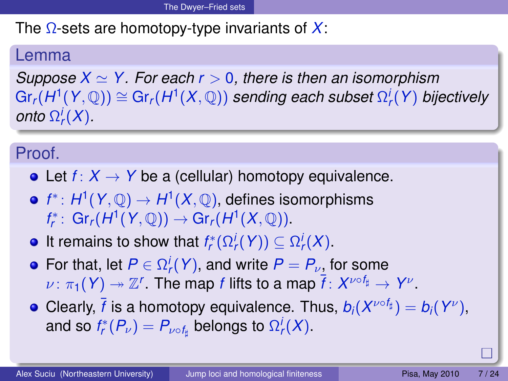The Ω-sets are homotopy-type invariants of *X*:

#### Lemma

*Suppose*  $X \simeq Y$ . For each  $r > 0$ , there is then an isomorphism  $\text{Gr}_r(H^1(Y, \mathbb{Q})) \cong \text{Gr}_r(H^1(X, \mathbb{Q}))$  sending each subset  $\Omega^i_r(Y)$  bijectively *onto*  $\Omega_r^i(X)$ .

### Proof.

- Let  $f: X \to Y$  be a (cellular) homotopy equivalence.
- *f* ∗ : *H* 1 (*Y*, Q) → *H* 1 (*X*, Q), defines isomorphisms  $f_r^*: \operatorname{Gr}_r(H^1(Y, \mathbb{Q})) \to \operatorname{Gr}_r(H^1(X, \mathbb{Q}))$ .
- It remains to show that  $f_r^*(\Omega_r^i(Y)) \subseteq \Omega_r^i(X)$ .
- For that, let  $P \in \Omega^i_r(Y)$ , and write  $P = P_{\nu}$  for some  $\nu: \pi_1(Y) \twoheadrightarrow \mathbb{Z}^r$ . The map *f* lifts to a map  $\overline{f}: X^{\nu \circ f_\sharp} \to Y^\nu$ .
- Clearly,  $\bar{f}$  is a homotopy equivalence. Thus,  $b_i(X^{\nu\circ f_\sharp})=b_i(Y^\nu),$ and so  $f_r^*(P_\nu)=P_{\nu\circ f_\sharp}$  belongs to  $\Omega^i_r(X).$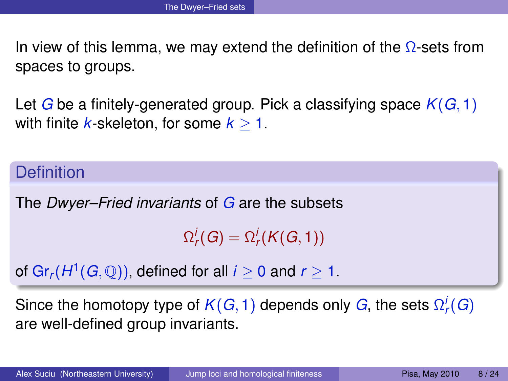In view of this lemma, we may extend the definition of the  $\Omega$ -sets from spaces to groups.

Let *G* be a finitely-generated group. Pick a classifying space *K*(*G*, 1) with finite *k*-skeleton, for some  $k \geq 1$ .

#### **Definition**

The *Dwyer–Fried invariants* of *G* are the subsets

 $\Omega_r^i(G) = \Omega_r^i(K(G, 1))$ 

of Gr $_r$ ( $H^1(G,\mathbb{Q})$ ), defined for all  $i\geq 0$  and  $r\geq 1.$ 

Since the homotopy type of  $K(G,1)$  depends only  $G$ , the sets  $\Omega^i_r(G)$ are well-defined group invariants.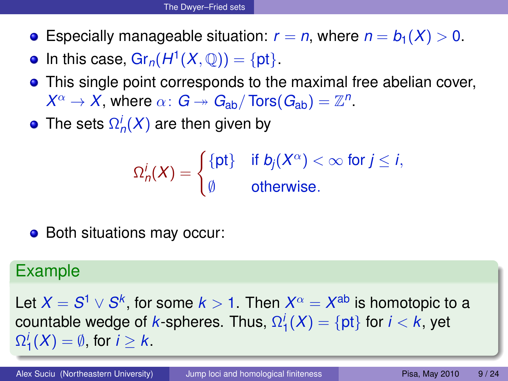- **•** Especially manageable situation:  $r = n$ , where  $n = b_1(X) > 0$ .
- In this case,  $Gr_n(H^1(X, \mathbb{Q})) = \{pt\}.$
- **•** This single point corresponds to the maximal free abelian cover,  $X^{\alpha} \to X$ , where  $\alpha \colon G \twoheadrightarrow G_{\text{ab}} / \text{Tors}(G_{\text{ab}}) = \mathbb{Z}^n$ .
- The sets  $\Omega^i_n(X)$  are then given by

$$
\Omega_n^i(X) = \begin{cases} {\{\mathsf{pt}\} & \text{if } b_j(X^{\alpha}) < \infty \text{ for } j \leq i, \\ \emptyset & \text{otherwise.} \end{cases}
$$

• Both situations may occur:

### Example

Let  $X=S^1\vee S^k,$  for some  $k>1.$  Then  $X^\alpha=X^{\rm ab}$  is homotopic to a  $\textnormal{countable wedge of}\;k\textnormal{-spheres.}\;\textnormal{Thus,}\;\Omega_1^i(X)=\{\textnormal{pt}\}\;\textnormal{for}\;i< k,\;\textnormal{yet}\;j\neq j\}$  $\Omega_1^i(X) = \emptyset$ , for  $i \geq k$ .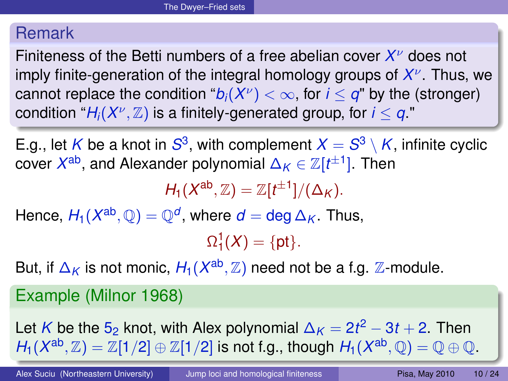### Remark

Finiteness of the Betti numbers of a free abelian cover *X* <sup>ν</sup> does not imply finite-generation of the integral homology groups of *X* ν . Thus, we cannot replace the condition " $b_i(X^\nu)<\infty,$  for  $i\leq q$ " by the (stronger)  $\mathsf{condition} \ \ \text{``} \mathsf{H}_i(X^\nu,\mathbb{Z}) \ \text{is a finitely-generated group, for} \ i \leq q \ \text{."}$ 

E.g., let  $K$  be a knot in  $S^3$ , with complement  $X = S^3 \setminus K$ , infinite cyclic  $\mathsf{cover}\; X^{\mathtt{ab}},$  and Alexander polynomial  $\Delta_{\mathcal{K}}\in \mathbb{Z}[t^{\pm 1}].$  Then

 $H_1(X^{\text{ab}}, \mathbb{Z}) = \mathbb{Z}[t^{\pm 1}]/(\Delta_K).$ 

 $\mathsf{Hence},\, H_1(X^{\mathsf{ab}},\mathbb{Q})=\mathbb{Q}^d,$  where  $d=\mathsf{deg}\,\Delta_K.$  Thus,

 $\Omega_1^1(X) = \{\text{pt}\}.$ 

But, if  $\Delta_K$  is not monic,  $H_1(X^{\text{ab}}, \mathbb{Z})$  need not be a f.g.  $\mathbb Z$ -module.

Example (Milnor 1968)

Let *K* be the 5<sub>2</sub> knot, with Alex polynomial  $\Delta_K = 2t^2 - 3t + 2$ . Then  $H_1(X^{\text{ab}}, \mathbb{Z}) = \mathbb{Z}[1/2] \oplus \mathbb{Z}[1/2]$  is not f.g., though  $H_1(X^{\text{ab}}, \mathbb{Q}) = \mathbb{Q} \oplus \mathbb{Q}$ .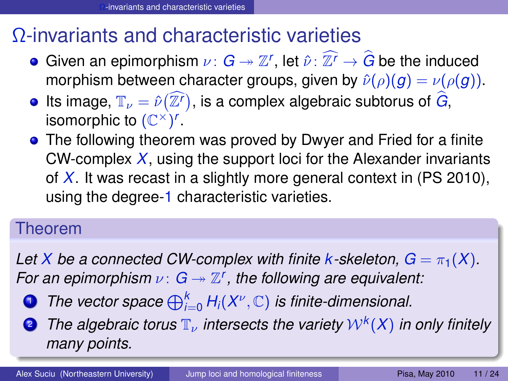# Ω-invariants and characteristic varieties

- Given an epimorphism  $\nu: G \twoheadrightarrow \mathbb{Z}^r$ , let  $\hat{\nu}: \mathbb{Z}^r \to \hat{G}$  be the induced morphism between character groups, given by  $\hat{\nu}(\rho)(g) = \nu(\rho(g))$ .
- Its image,  $\mathbb{T}_{\nu} = \hat{\nu}(\widehat{\mathbb{Z}^{\prime}})$ , is a complex algebraic subtorus of  $\widehat{G}$ , isomorphic to  $(\mathbb{C}^\times)^r$ .
- **•** The following theorem was proved by Dwyer and Fried for a finite CW-complex *X*, using the support loci for the Alexander invariants of *X*. It was recast in a slightly more general context in (PS 2010), using the degree-1 characteristic varieties.

### Theorem

*Let X be a connected CW-complex with finite k-skeleton,*  $G = \pi_1(X)$ . *For an epimorphism*  $\nu$ :  $G \rightarrow \mathbb{Z}^r$ , the following are equivalent:

- **1** The vector space  $\bigoplus_{i=0}^k H_i(X^\nu,\mathbb{C})$  is finite-dimensional.
- <span id="page-10-0"></span>**2** The algebraic torus  $\mathbb{T}_{\nu}$  intersects the variety  $\mathcal{W}^k(X)$  in only finitely *many points.*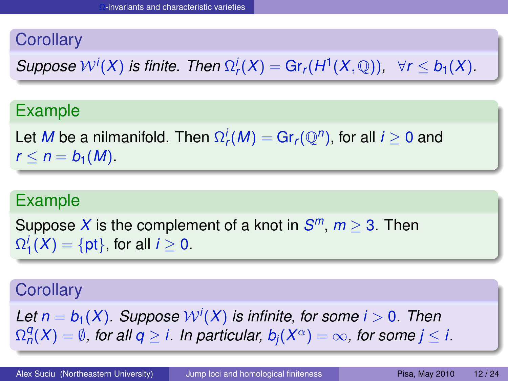## **Corollary**

*Suppose*  $W^{i}(X)$  *is finite. Then*  $\Omega_{r}^{i}(X) = \text{Gr}_{r}(H^{1}(X, \mathbb{Q}))$ ,  $\forall r \leq b_{1}(X)$ .

## Example

Let  $M$  be a nilmanifold. Then  $\Omega_r^i(M) = \mathrm{Gr}_r({\mathbb Q}^n),$  for all  $i \geq 0$  and  $r \leq n = b_1(M)$ .

### Example

Suppose X is the complement of a knot in  $S^m$ ,  $m \geq 3$ . Then  $\Omega_1^i(X) = \{\text{pt}\},$  for all  $i \geq 0$ .

### **Corollary**

Let  $n=b_1(X)$ . Suppose  $\mathcal{W}^i(X)$  is infinite, for some  $i>0$ . Then  $\Omega_{n}^{q}(X)=\emptyset$ , for all  $q\geq i$ . In particular,  $b_{j}(X^{\alpha})=\infty$ , for some  $j\leq i$ .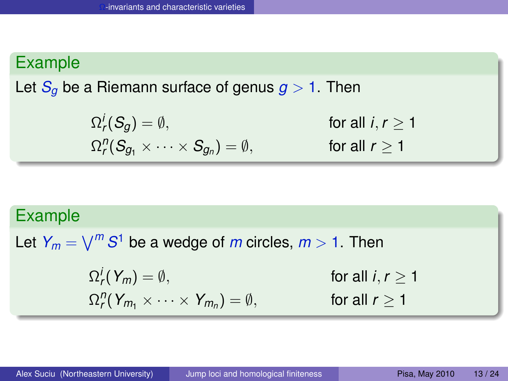## Example

Let  $S_q$  be a Riemann surface of genus  $q > 1$ . Then

$$
\Omega_r^j(S_g) = \emptyset, \qquad \text{for all } i, r \ge 1
$$
  

$$
\Omega_r^{\eta}(S_{g_1} \times \cdots \times S_{g_n}) = \emptyset, \qquad \text{for all } r \ge 1
$$

#### Example

Let  $Y_m = \bigvee^m S^1$  be a wedge of  $m$  circles,  $m > 1$ . Then Ω *i r* for all  $i, r > 1$  $\Omega_r^n(Y_{m_1}\times\cdots\times Y_{m_n})$ for all  $r > 1$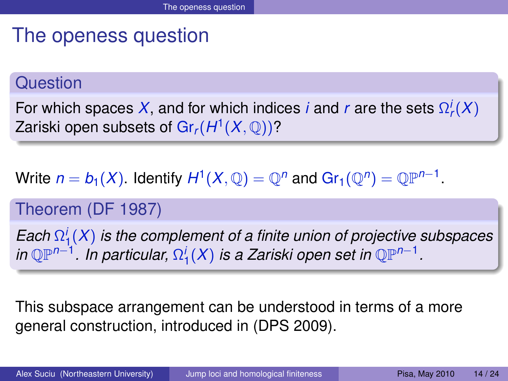# The openess question

#### **Question**

For which spaces  $X$ , and for which indices *i* and *r* are the sets  $\Omega_r^i(X)$ Zariski open subsets of  $\mathsf{Gr}_r(H^1(X,\mathbb{Q}))$ ?

## Write  $n = b_1(X)$ . Identify  $H^1(X, \mathbb{Q}) = \mathbb{Q}^n$  and  $\text{Gr}_1(\mathbb{Q}^n) = \mathbb{Q}\mathbb{P}^{n-1}$ .

### Theorem (DF 1987)

*Each* Ω *i* 1 (*X*) *is the complement of a finite union of projective subspaces in* ℚℙ<sup>n−1</sup>. In particular,  $Ω_1^i(X)$  is a Zariski open set in ℚℙ<sup>n−1</sup>.

<span id="page-13-0"></span>This subspace arrangement can be understood in terms of a more general construction, introduced in (DPS 2009).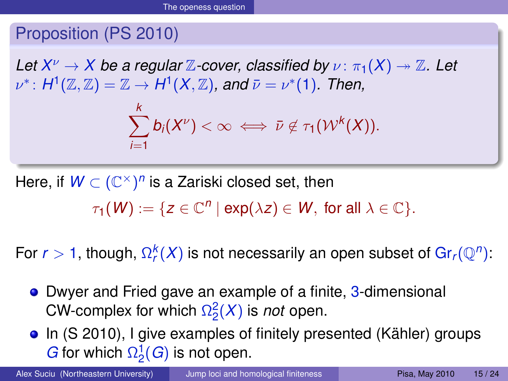## Proposition (PS 2010)

*Let*  $X^{\nu} \to X$  *be a regular*  $\mathbb Z$ *-cover, classified by*  $\nu$  :  $\pi_1(X) \twoheadrightarrow \mathbb Z$ *. Let*  $\nu^*\colon H^1(\mathbb{Z},\mathbb{Z})=\mathbb{Z}\to H^1(X,\mathbb{Z})$ , and  $\bar{\nu}=\nu^*(1)$ . Then,

$$
\sum_{i=1}^k b_i(X^{\nu}) < \infty \iff \bar{\nu} \notin \tau_1(\mathcal{W}^k(X)).
$$

Here, if  $W \subset (\mathbb{C}^\times)^n$  is a Zariski closed set, then  $\tau_1(\mathcal{W}) := \{ z \in \mathbb{C}^n \mid \exp(\lambda z) \in \mathcal{W}, \text{ for all } \lambda \in \mathbb{C} \}.$ 

For  $r > 1$ , though,  $Ω_r^k(X)$  is not necessarily an open subset of Gr<sub>r</sub>( $\mathbb{Q}^n$ ):

- **•** Dwyer and Fried gave an example of a finite, 3-dimensional CW-complex for which  $\Omega_2^2(X)$  is *not* open.
- In (S 2010), I give examples of finitely presented (Kähler) groups *G* for which  $\Omega_2^1(G)$  is not open.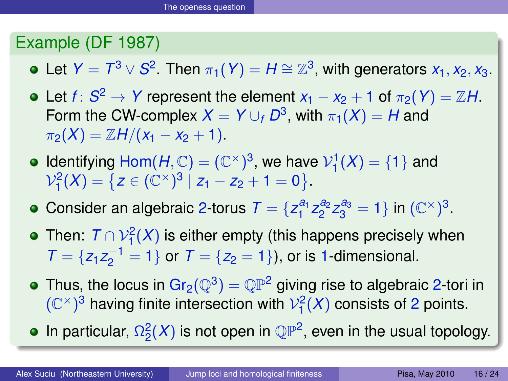## Example (DF 1987)

Let  $Y = T^3 \vee S^2$ . Then  $\pi_1(Y) = H \cong \mathbb{Z}^3$ , with generators  $x_1, x_2, x_3$ .

- Let  $f\colon S^2\to Y$  represent the element  $x_1-x_2+1$  of  $\pi_2(Y)=\mathbb{Z}H$ . Form the CW-complex  $X = Y \cup_f D^3$ , with  $\pi_1(X) = H$  and  $\pi_2(X) = \mathbb{Z}H/(x_1 - x_2 + 1).$
- Identifying  $Hom(H, \mathbb{C}) = (\mathbb{C}^{\times})^3$ , we have  $\mathcal{V}_1^1(X) = \{1\}$  and  $\mathcal{V}_1^2(X) = \{ z \in (\mathbb{C}^\times)^3 \mid z_1 - z_2 + 1 = 0 \}.$
- Consider an algebraic 2-torus  $\mathcal{T} = \{z_1^{a_1} z_2^{a_2} z_3^{a_3} = 1\}$  in  $(\mathbb{C}^{\times})^3$ .
- Then:  $\, \mathcal{T} \cap \mathcal{V}^{2}_{1}(X)$  is either empty (this happens precisely when  $T = \{z_1 z_2^{-1} = 1\}$  or  $T = \{z_2 = 1\}$ , or is 1-dimensional.
- Thus, the locus in Gr $_2(\mathbb{Q}^3) = \mathbb{QP}^2$  giving rise to algebraic 2-tori in  $(\mathbb{C}^{\times})^3$  having finite intersection with  $\mathcal{V}_1^2(X)$  consists of 2 points.

In particular,  $\Omega_2^2(X)$  is not open in  $\mathbb{QP}^2$ , even in the usual topology.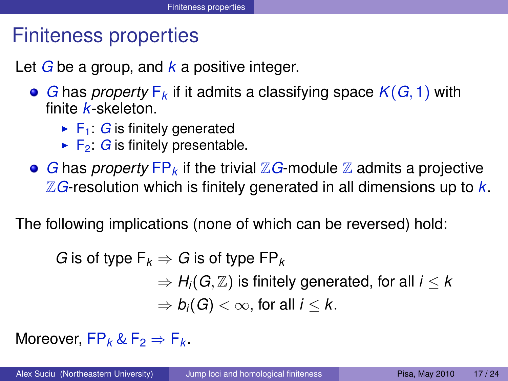## Finiteness properties

Let *G* be a group, and *k* a positive integer.

- *G* has *property* F*<sup>k</sup>* if it admits a classifying space *K*(*G*, 1) with finite *k*-skeleton.
	- $\blacktriangleright$  F<sub>1</sub>: *G* is finitely generated
	- $\blacktriangleright$  F<sub>2</sub>: *G* is finitely presentable.
- *G* has *property*  $\mathsf{FP}_k$  if the trivial  $\mathbb{Z} G$ -module  $\mathbb{Z}$  admits a projective Z*G*-resolution which is finitely generated in all dimensions up to *k*.

The following implications (none of which can be reversed) hold:

<span id="page-16-0"></span>*G* is of type  $F_k \Rightarrow G$  is of type  $FP_k$  $\Rightarrow$  *H<sub>i</sub>*(*G*, *Z*) is finitely generated, for all *i* < *k*  $\Rightarrow$   $b_i(G) < \infty$ , for all  $i < k$ .

Moreover,  $FP_k \& F_2 \Rightarrow F_k$ .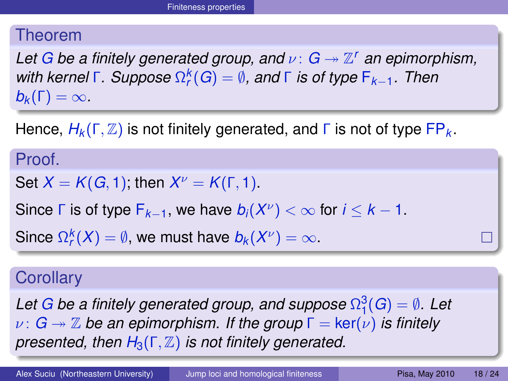#### Theorem

*Let* G be a finitely generated group, and  $ν: G \rightarrow \mathbb{Z}^r$  an epimorphism, *with kernel* Γ*. Suppose* Ω *k r* (*G*) = ∅*, and* Γ *is of type* F*k*−1*. Then*  $b_k(\Gamma) = \infty$ .

Hence,  $H_k(\Gamma, \mathbb{Z})$  is not finitely generated, and  $\Gamma$  is not of type  $\overline{FP}_k$ .

#### Proof.

Set  $X = K(G, 1)$ ; then  $X^{\nu} = K(\Gamma, 1)$ .

Since  $\Gamma$  is of type  $F_{k-1}$ , we have  $b_i(X^{\nu}) < \infty$  for  $i \leq k-1$ .

Since  $\Omega_r^k(X) = \emptyset$ , we must have  $b_k(X^\nu) = \infty$ .

#### **Corollary**

Let  $G$  be a finitely generated group, and suppose  $\Omega^3_1(G) = \emptyset$ . Let  $\nu: G \rightarrow \mathbb{Z}$  be an epimorphism. If the group  $\Gamma = \text{ker}(\nu)$  is finitely *presented, then*  $H_3(\Gamma, \mathbb{Z})$  *is not finitely generated.*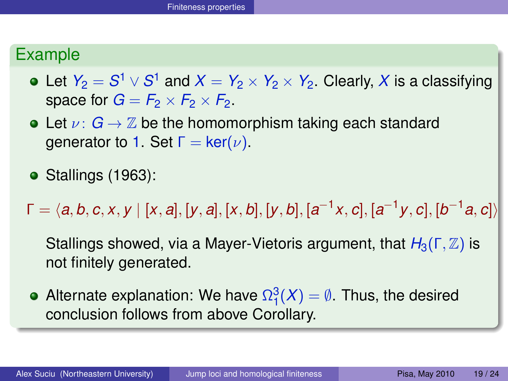### Example

- Let  $Y_2 = S^1 \vee S^1$  and  $X = Y_2 \times Y_2 \times Y_2$ . Clearly,  $X$  is a classifying space for  $G = F_2 \times F_2 \times F_2$ .
- Let  $\nu: G \to \mathbb{Z}$  be the homomorphism taking each standard generator to 1. Set  $Γ = ker(ν)$ .
- $\bullet$  Stallings (1963):

 $\mathsf{\Gamma}=\langle a, b, c, x, y \mid [x, a], [y, a], [x, b], [y, b], [a^{-1}x, c], [a^{-1}y, c], [b^{-1}a, c]\rangle$ 

Stallings showed, via a Mayer-Vietoris argument, that *H*3(Γ, Z) is not finitely generated.

Alternate explanation: We have  $\Omega^3_1(X)=\emptyset.$  Thus, the desired conclusion follows from above Corollary.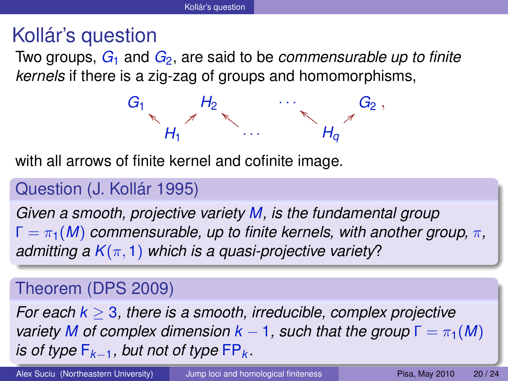# Kollár's question

Two groups, *G*<sup>1</sup> and *G*2, are said to be *commensurable up to finite kernels* if there is a zig-zag of groups and homomorphisms,

> <span id="page-19-0"></span>*G*<sup>1</sup> *H*<sup>2</sup>  $\cdots$  *G*<sub>2</sub>  $H_1$  $\mathscr{M}$ =  ${ }/{}$ · · ·  $\mathbb{Z}$ *H<sup>q</sup>*  $\mathcal{F}_{\mathcal{F}}$  $\overline{z}$ ,

with all arrows of finite kernel and cofinite image.

## Question (J. Kollár 1995)

*Given a smooth, projective variety M, is the fundamental group*  $\Gamma = \pi_1(M)$  *commensurable, up to finite kernels, with another group,*  $\pi$ , *admitting a*  $K(\pi, 1)$  *which is a quasi-projective variety*?

## Theorem (DPS 2009)

*For each k* ≥ 3*, there is a smooth, irreducible, complex projective variety M of complex dimension*  $k - 1$ *, such that the group*  $\Gamma = \pi_1(M)$ *is of type*  $F_{k-1}$ *, but not of type*  $FP_k$ *.*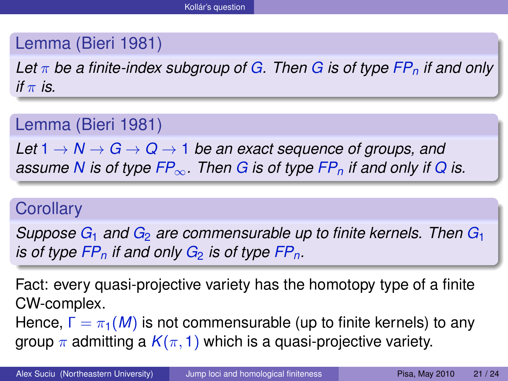## Lemma (Bieri 1981)

*Let* π *be a finite-index subgroup of G. Then G is of type FP<sup>n</sup> if and only if*  $\pi$  *is*.

Lemma (Bieri 1981)

*Let*  $1 \rightarrow N \rightarrow G \rightarrow Q \rightarrow 1$  *be an exact sequence of groups, and assume N is of type*  $FP_\infty$ *. Then G is of type*  $FP_n$  *if and only if Q is.* 

### **Corollary**

*Suppose G*<sup>1</sup> *and G*<sup>2</sup> *are commensurable up to finite kernels. Then G*<sup>1</sup> *is of type*  $FP_n$  *if and only*  $G_2$  *is of type*  $FP_n$ .

Fact: every quasi-projective variety has the homotopy type of a finite CW-complex.

Hence,  $\Gamma = \pi_1(M)$  is not commensurable (up to finite kernels) to any group  $\pi$  admitting a  $K(\pi, 1)$  which is a quasi-projective variety.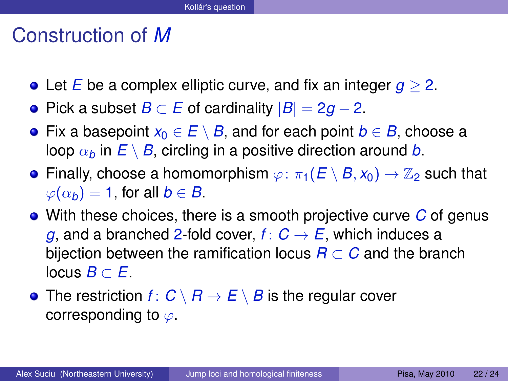## Construction of *M*

- Let *E* be a complex elliptic curve, and fix an integer *g* ≥ 2.
- Pick a subset *B* ⊂ *E* of cardinality |*B*| = 2*g* − 2.
- Fix a basepoint *x*<sup>0</sup> ∈ *E* \ *B*, and for each point *b* ∈ *B*, choose a loop  $\alpha_b$  in  $E \setminus B$ , circling in a positive direction around *b*.
- **•** Finally, choose a homomorphism  $\varphi: \pi_1(E \setminus B, x_0) \to \mathbb{Z}_2$  such that  $\varphi(\alpha_b) = 1$ , for all  $b \in B$ .
- With these choices, there is a smooth projective curve *C* of genus *g*, and a branched 2-fold cover,  $f: C \rightarrow E$ , which induces a bijection between the ramification locus  $R \subset C$  and the branch locus *B*  $\subset$  *E*.
- The restriction  $f: C \setminus B \to E \setminus B$  is the regular cover corresponding to  $\varphi$ .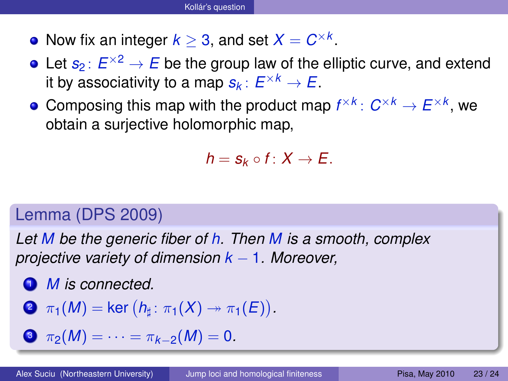- Now fix an integer  $k \geq 3$ , and set  $X = C^{\times k}$ .
- Let  $s_2\colon E^{\times 2}\to E$  be the group law of the elliptic curve, and extend it by associativity to a map  $s_k\colon E^{\times k}\to E.$
- Composing this map with the product map  $f^{\times k} \colon C^{\times k} \to E^{\times k}$ , we obtain a surjective holomorphic map,

$$
h=s_k\circ f\colon X\to E.
$$

## Lemma (DPS 2009)

*Let M be the generic fiber of h. Then M is a smooth, complex projective variety of dimension k* − 1*. Moreover,*

<span id="page-22-0"></span><sup>1</sup> *M is connected.*

<span id="page-22-1"></span>
$$
\bullet \ \pi_1(M) = \ker (h_{\sharp} \colon \pi_1(X) \to \pi_1(E)).
$$

<span id="page-22-2"></span> $\mathbf{3} \ \pi_2(M) = \cdots = \pi_{k-2}(M) = 0.$